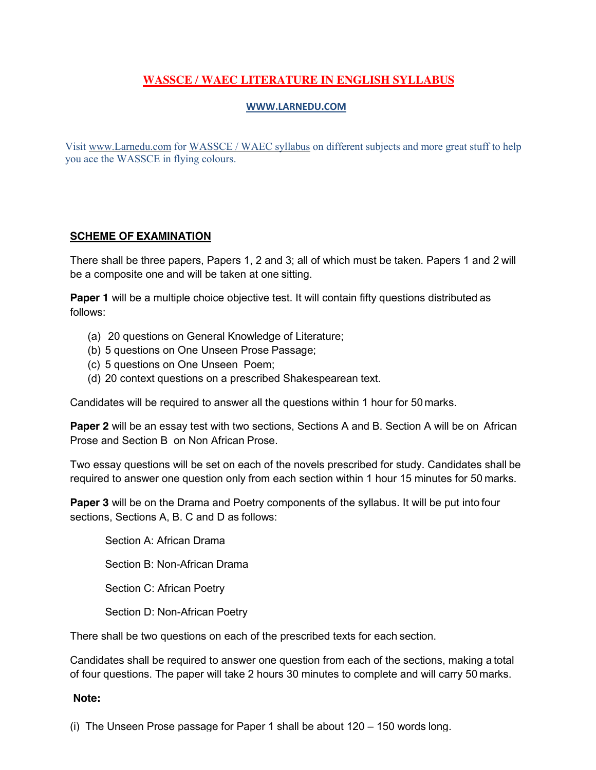# **[WASSCE / WAEC](http://www.larnedu.com/wassce-waec-past-practice-questions/) LITERATURE IN ENGLISH SYLLABUS**

### **[WWW.LARNEDU.COM](http://www.larnedu.com/)**

Visit [www.Larnedu.com](http://www.larnedu.com/) for [WASSCE / WAEC syllabus](http://www.larnedu.com/wassce-waec-syllabus/) on different subjects and more great stuff to help you ace the WASSCE in flying colours.

### **SCHEME OF [EXAMINATION](http://www.larnedu.com/wassce-waec-syllabus/)**

There shall be three papers, Papers 1, 2 and 3; all of which must be taken. Papers 1 and 2 will be a composite one and will be taken at one sitting.

**Paper 1** will be a multiple choice objective test. It will contain fifty questions distributed as follows:

- (a) 20 questions on General Knowledge of Literature;
- (b) 5 questions on One Unseen Prose Passage;
- (c) 5 questions on One Unseen Poem;
- (d) 20 context questions on a prescribed Shakespearean text.

Candidates will be required to answer all the questions within 1 hour for 50 marks.

**Paper 2** will be an essay test with two sections, Sections A and B. Section A will be on African Prose and Section B on Non African Prose.

Two essay questions will be set on each of the novels prescribed for study. Candidates shall be required to answer one question only from each section within 1 hour 15 minutes for 50 marks.

**Paper 3** will be on the Drama and Poetry components of the syllabus. It will be put into four sections, Sections A, B. C and D as follows:

Section A: African Drama Section B: Non-African Drama Section C: African Poetry Section D: Non-African Poetry

There shall be two questions on each of the prescribed texts for each section.

Candidates shall be required to answer one question from each of the sections, making a total of four questions. The paper will take 2 hours 30 minutes to complete and will carry 50 marks.

#### **Note:**

(i) The Unseen Prose passage for Paper 1 shall be about 120 – 150 words long.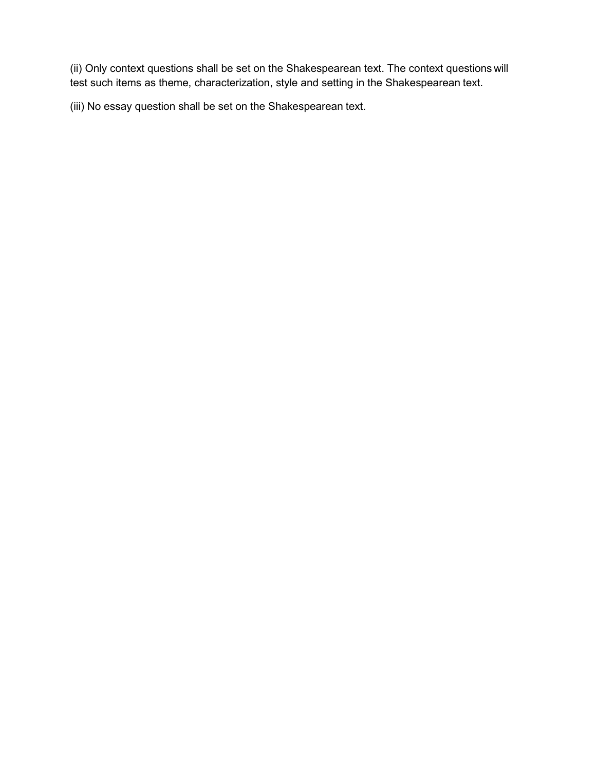(ii) Only context questions shall be set on the Shakespearean text. The context questions will test such items as theme, characterization, style and setting in the Shakespearean text.

(iii) No essay question shall be set on the Shakespearean text.